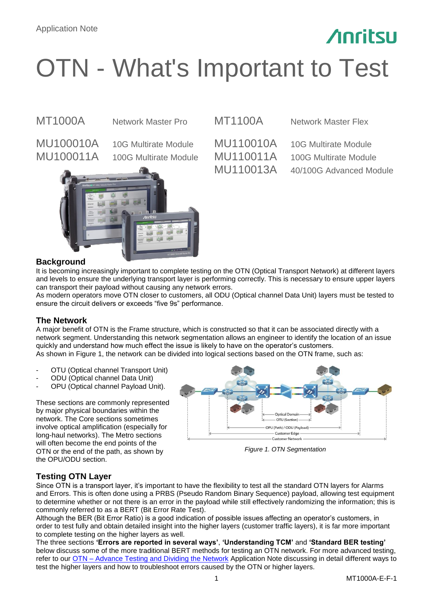# OTN - What's Important to Test

MT1000A Network Master Pro MT1100A Network Master Flex

MU100010A 10G Multirate Module MU110010A 10G Multirate Module



MU100011A 100G Multirate Module MU110011A 100G Multirate Module MU110013A 40/100G Advanced Module

**Anritsu** 

### **Background**

It is becoming increasingly important to complete testing on the OTN (Optical Transport Network) at different layers and levels to ensure the underlying transport layer is performing correctly. This is necessary to ensure upper layers can transport their payload without causing any network errors.

As modern operators move OTN closer to customers, all ODU (Optical channel Data Unit) layers must be tested to ensure the circuit delivers or exceeds "five 9s" performance.

#### **The Network**

A major benefit of OTN is the Frame structure, which is constructed so that it can be associated directly with a network segment. Understanding this network segmentation allows an engineer to identify the location of an issue quickly and understand how much effect the issue is likely to have on the operator's customers. As shown in Figure 1, the network can be divided into logical sections based on the OTN frame, such as:

- OTU (Optical channel Transport Unit)
- ODU (Optical channel Data Unit)
- OPU (Optical channel Payload Unit).

These sections are commonly represented by major physical boundaries within the network. The Core sections sometimes involve optical amplification (especially for long-haul networks). The Metro sections will often become the end points of the OTN or the end of the path, as shown by the OPU/ODU section.



*Figure 1. OTN Segmentation*

### **Testing OTN Layer**

Since OTN is a transport layer, it's important to have the flexibility to test all the standard OTN layers for Alarms and Errors. This is often done using a PRBS (Pseudo Random Binary Sequence) payload, allowing test equipment to determine whether or not there is an error in the payload while still effectively randomizing the information; this is commonly referred to as a BERT (Bit Error Rate Test).

Although the BER (Bit Error Ratio) is a good indication of possible issues affecting an operator's customers, in order to test fully and obtain detailed insight into the higher layers (customer traffic layers), it is far more important to complete testing on the higher layers as well.

The three sections **'Errors are reported in several ways'**, **'Understanding TCM'** and **'Standard BER testing'** below discuss some of the more traditional BERT methods for testing an OTN network. For more advanced testing, refer to our [OTN – Advance Testing and Dividing the Network](https://www.anritsu.com/en-AU/test-measurement/support/downloads/application-notes/dwl010600) Application Note discussing in detail different ways to test the higher layers and how to troubleshoot errors caused by the OTN or higher layers.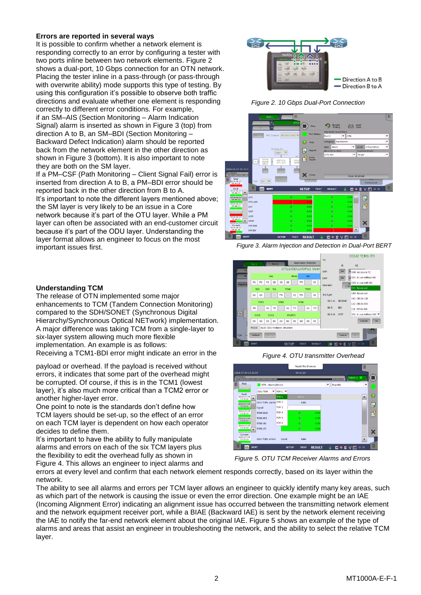#### **Errors are reported in several ways**

It is possible to confirm whether a network element is responding correctly to an error by configuring a tester with two ports inline between two network elements. Figure 2 shows a dual-port, 10 Gbps connection for an OTN network. Placing the tester inline in a pass-through (or pass-through with overwrite ability) mode supports this type of testing. By using this configuration it's possible to observe both traffic directions and evaluate whether one element is responding correctly to different error conditions. For example, if an SM–AIS (Section Monitoring – Alarm Indication Signal) alarm is inserted as shown in Figure 3 (top) from direction A to B, an SM–BDI (Section Monitoring – Backward Defect Indication) alarm should be reported back from the network element in the other direction as shown in Figure 3 (bottom). It is also important to note they are both on the SM layer.

If a PM–CSF (Path Monitoring – Client Signal Fail) error is inserted from direction A to B, a PM–BDI error should be reported back in the other direction from B to A. It's important to note the different layers mentioned above; the SM layer is very likely to be an issue in a Core network because it's part of the OTU layer. While a PM layer can often be associated with an end-customer circuit because it's part of the ODU layer. Understanding the layer format allows an engineer to focus on the most important issues first.

#### **Understanding TCM**

The release of OTN implemented some major enhancements to TCM (Tandem Connection Monitoring) compared to the SDH/SONET (Synchronous Digital Hierarchy/Synchronous Optical NETwork) implementation. A major difference was taking TCM from a single-layer to six-layer system allowing much more flexible implementation. An example is as follows: Receiving a TCM1-BDI error might indicate an error in the

payload or overhead. If the payload is received without errors, it indicates that some part of the overhead might be corrupted. Of course, if this is in the TCM1 (lowest layer), it's also much more critical than a TCM2 error or another higher-layer error.

One point to note is the standards don't define how TCM layers should be set-up, so the effect of an error on each TCM layer is dependent on how each operator decides to define them.

It's important to have the ability to fully manipulate alarms and errors on each of the six TCM layers plus the flexibility to edit the overhead fully as shown in Figure 4. This allows an engineer to inject alarms and











#### *Figure 4. OTU transmitter Overhead*



*Figure 5. OTU TCM Receiver Alarms and Errors*

errors at every level and confirm that each network element responds correctly, based on its layer within the network.

The ability to see all alarms and errors per TCM layer allows an engineer to quickly identify many key areas, such as which part of the network is causing the issue or even the error direction. One example might be an IAE (Incoming Alignment Error) indicating an alignment issue has occurred between the transmitting network element and the network equipment receiver port, while a BIAE (Backward IAE) is sent by the network element receiving the IAE to notify the far-end network element about the original IAE. Figure 5 shows an example of the type of alarms and areas that assist an engineer in troubleshooting the network, and the ability to select the relative TCM layer.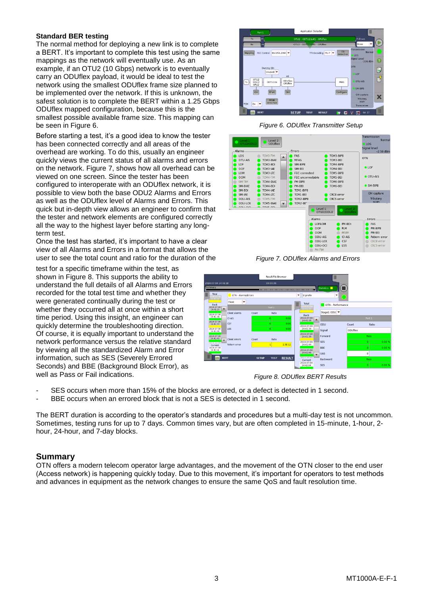#### **Standard BER testing**

The normal method for deploying a new link is to complete a BERT. It's important to complete this test using the same mappings as the network will eventually use. As an example, if an OTU2 (10 Gbps) network is to eventually carry an ODUflex payload, it would be ideal to test the network using the smallest ODUflex frame size planned to be implemented over the network. If this is unknown, the safest solution is to complete the BERT within a 1.25 Gbps ODUflex mapped configuration, because this is the smallest possible available frame size. This mapping can be seen in Figure 6.

Before starting a test, it's a good idea to know the tester has been connected correctly and all areas of the overhead are working. To do this, usually an engineer quickly views the current status of all alarms and errors on the network. Figure 7, shows how all overhead can be viewed on one screen. Since the tester has been configured to interoperate with an ODUflex network, it is possible to view both the base ODU2 Alarms and Errors as well as the ODUflex level of Alarms and Errors. This quick but in-depth view allows an engineer to confirm that the tester and network elements are configured correctly all the way to the highest layer before starting any longterm test.

Once the test has started, it's important to have a clear view of all Alarms and Errors in a format that allows the user to see the total count and ratio for the duration of the

test for a specific timeframe within the test, as shown in Figure 8. This supports the ability to understand the full details of all Alarms and Errors recorded for the total test time and whether they were generated continually during the test or whether they occurred all at once within a short time period. Using this insight, an engineer can quickly determine the troubleshooting direction. Of course, it is equally important to understand the network performance versus the relative standard by viewing all the standardized Alarm and Error information, such as SES (Severely Errored Seconds) and BBE (Background Block Error), as well as Pass or Fail indications.







*Figure 7. ODUflex Alarms and Errors*

| 2014-07-04 14:41:18                                |                                                       |              | <b>Result File Browser</b><br>00:00:36 |               |              |                                     |                          | Ш                        |         |               |         |
|----------------------------------------------------|-------------------------------------------------------|--------------|----------------------------------------|---------------|--------------|-------------------------------------|--------------------------|--------------------------|---------|---------------|---------|
| Summary<br>Total                                   |                                                       |              |                                        |               |              |                                     |                          | Statistics <b>III</b>    |         |               |         |
| $\mathbb{I}$<br>14:41:20                           | OTN - Alarms/Errors<br>$\blacktriangledown$<br>Client |              |                                        |               | ▼            | SI prefix<br>Total                  |                          | ▼                        |         |               |         |
| Back<br>2014-07-04<br>$\blacktriangle$<br>14:41:29 |                                                       |              | Port 1                                 |               | $\mathbb{I}$ | 014.07.<br>14:41:20                 |                          | OTN - Performance        |         |               |         |
| 2014-07-04<br>14:41:34                             | Client alarms<br>$Cl-AIS$                             | Count        | Ratio<br>ΙoΙ                           | 0.00          |              | Back<br>2014-07-04<br>14:41:29      | ▲                        | Stage1 ODU               |         | Port 1        |         |
| 2014-07-04<br>14:41:39<br>2014-07-04               | CSF<br><b>LSS</b>                                     |              | $\Omega$<br>ΙoΙ                        | 0.00<br>0.00  |              | 2014-07-04<br>14:41:34              |                          | ODU                      | Count   | Ratio         |         |
| 14:41:44<br>2014-07-04                             |                                                       |              |                                        |               |              | 2014-07-04<br>14:41:39              |                          | Signal<br>Forward        | ODUflex | Pass          |         |
| 14:41:49<br>SASA AT AS<br>Current                  | <b>Client</b> errors<br>Pattern error                 | Count        | Ratio                                  | $2.3E-11$     |              | 2014-07-04<br>14:41:44              |                          | <b>SES</b>               |         | o۱            | 0.00%   |
| 2014-07-04<br>14:41:54                             |                                                       |              |                                        |               |              | 2014-07-04<br>14:41:49              | $\overline{\phantom{a}}$ | <b>BBE</b><br><b>UAS</b> |         | $\Omega$<br>0 | 0.00%   |
| <b>BERT</b><br>-91                                 |                                                       | <b>SETUP</b> | <b>TEST</b>                            | <b>RESULT</b> |              | 3034.07.04<br>Current<br>2014-07-04 |                          | Backward                 |         | Pass          |         |
|                                                    |                                                       |              |                                        |               |              | 14:42:04                            |                          | <b>SES</b>               |         | $\Omega$      | 0.00.96 |

*Figure 8. ODUflex BERT Results*

- SES occurs when more than 15% of the blocks are errored, or a defect is detected in 1 second.
- BBE occurs when an errored block that is not a SES is detected in 1 second.

The BERT duration is according to the operator's standards and procedures but a multi-day test is not uncommon. Sometimes, testing runs for up to 7 days. Common times vary, but are often completed in 15-minute, 1-hour, 2 hour, 24-hour, and 7-day blocks.

#### **Summary**

OTN offers a modern telecom operator large advantages, and the movement of the OTN closer to the end user (Access network) is happening quickly today. Due to this movement, it's important for operators to test methods and advances in equipment as the network changes to ensure the same QoS and fault resolution time.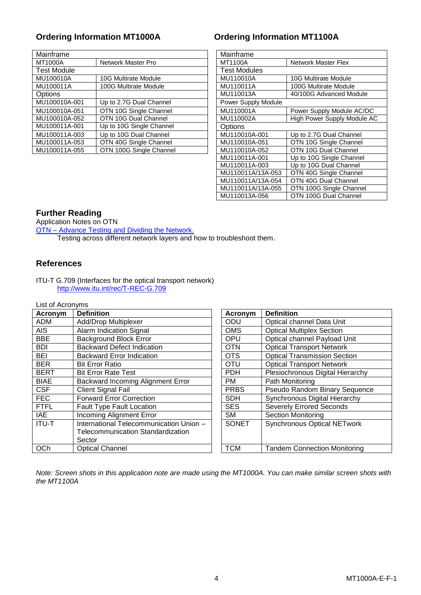#### **Ordering Information MT1000A Ordering Information MT1100A**

| Mainframe          |                             |         | Mainframe           |                             |  |
|--------------------|-----------------------------|---------|---------------------|-----------------------------|--|
| MT1000A            | Network Master Pro          |         | MT1100A             | <b>Network Master Flex</b>  |  |
| <b>Test Module</b> |                             |         | <b>Test Modules</b> |                             |  |
| MU100010A          | <b>10G Multirate Module</b> |         | MU110010A           | <b>10G Multirate Module</b> |  |
| MU100011A          | 100G Multirate Module       |         | MU110011A           | 100G Multirate Module       |  |
| <b>Options</b>     |                             |         | MU110013A           | 40/100G Advanced Module     |  |
| MU100010A-001      | Up to 2.7G Dual Channel     |         | Power Supply Module |                             |  |
| MU100010A-051      | OTN 10G Single Channel      |         | MU110001A           | Power Supply Module AC/DC   |  |
| MU100010A-052      | OTN 10G Dual Channel        |         | MU110002A           | High Power Supply Module AC |  |
| MU100011A-001      | Up to 10G Single Channel    | Options |                     |                             |  |
| MU100011A-003      | Up to 10G Dual Channel      |         | MU110010A-001       | Up to 2.7G Dual Channel     |  |
| MU100011A-053      | OTN 40G Single Channel      |         | MU110010A-051       | OTN 10G Single Channel      |  |
| MU100011A-055      | OTN 100G Single Channel     |         | MU110010A-052       | OTN 10G Dual Channel        |  |
|                    |                             |         |                     |                             |  |

| Mainframe           |                             |  |  |  |  |
|---------------------|-----------------------------|--|--|--|--|
| <b>MT1100A</b>      | <b>Network Master Flex</b>  |  |  |  |  |
| Test Modules        |                             |  |  |  |  |
| MU110010A           | 10G Multirate Module        |  |  |  |  |
| MU110011A           | 100G Multirate Module       |  |  |  |  |
| MU110013A           | 40/100G Advanced Module     |  |  |  |  |
| Power Supply Module |                             |  |  |  |  |
| MU110001A           | Power Supply Module AC/DC   |  |  |  |  |
| MU110002A           | High Power Supply Module AC |  |  |  |  |
| Options             |                             |  |  |  |  |
| MU110010A-001       | Up to 2.7G Dual Channel     |  |  |  |  |
| MU110010A-051       | OTN 10G Single Channel      |  |  |  |  |
| MU110010A-052       | OTN 10G Dual Channel        |  |  |  |  |
| MU110011A-001       | Up to 10G Single Channel    |  |  |  |  |
| MU110011A-003       | Up to 10G Dual Channel      |  |  |  |  |
| MU110011A/13A-053   | OTN 40G Single Channel      |  |  |  |  |
| MU110011A/13A-054   | OTN 40G Dual Channel        |  |  |  |  |
| MU110011A/13A-055   | OTN 100G Single Channel     |  |  |  |  |
| MU110013A-056       | OTN 100G Dual Channel       |  |  |  |  |

## **Further Reading**

Application Notes on OTN

[OTN – Advance Testing and Dividing the Network.](https://www.anritsu.com/en-AU/Downloads/Application-Notes/Application-Note/DWL10600.aspx)

Testing across different network layers and how to troubleshoot them.

#### **References**

ITU-T G.709 (Interfaces for the optical transport network) <http://www.itu.int/rec/T-REC-G.709>

#### List of Acronyms

| טוויטוטוי זיט שם<br>Acronym | <b>Definition</b>                        | Acronym      | <b>Definition</b>                   |
|-----------------------------|------------------------------------------|--------------|-------------------------------------|
| ADM                         | <b>Add/Drop Multiplexer</b>              | ODU          | Optical channel Data Unit           |
| AIS.                        | Alarm Indication Signal                  | <b>OMS</b>   | <b>Optical Multiplex Section</b>    |
| <b>BBE</b>                  | <b>Background Block Error</b>            | <b>OPU</b>   | Optical channel Payload Unit        |
| <b>BDI</b>                  | <b>Backward Defect Indication</b>        | <b>OTN</b>   | <b>Optical Transport Network</b>    |
| BEI                         | <b>Backward Error Indication</b>         | <b>OTS</b>   | <b>Optical Transmission Section</b> |
| <b>BER</b>                  | <b>Bit Error Ratio</b>                   | OTU          | <b>Optical Transport Network</b>    |
| <b>BERT</b>                 | <b>Bit Error Rate Test</b>               | <b>PDH</b>   | Plesiochronous Digital Hierarchy    |
| <b>BIAE</b>                 | Backward Incoming Alignment Error        | PM           | Path Monitoring                     |
| <b>CSF</b>                  | Client Signal Fail                       | <b>PRBS</b>  | Pseudo Random Binary Sequence       |
| <b>FEC</b>                  | <b>Forward Error Correction</b>          | <b>SDH</b>   | Synchronous Digital Hierarchy       |
| <b>FTFL</b>                 | <b>Fault Type Fault Location</b>         | <b>SES</b>   | <b>Severely Errored Seconds</b>     |
| IAE                         | <b>Incoming Alignment Error</b>          | <b>SM</b>    | <b>Section Monitoring</b>           |
| <b>ITU-T</b>                | International Telecommunication Union -  | <b>SONET</b> | <b>Synchronous Optical NETwork</b>  |
|                             | <b>Telecommunication Standardization</b> |              |                                     |
|                             | Sector                                   |              |                                     |
| OCh                         | <b>Optical Channel</b>                   | <b>TCM</b>   | <b>Tandem Connection Monitoring</b> |

*Note: Screen shots in this application note are made using the MT1000A. You can make similar screen shots with the MT1100A*